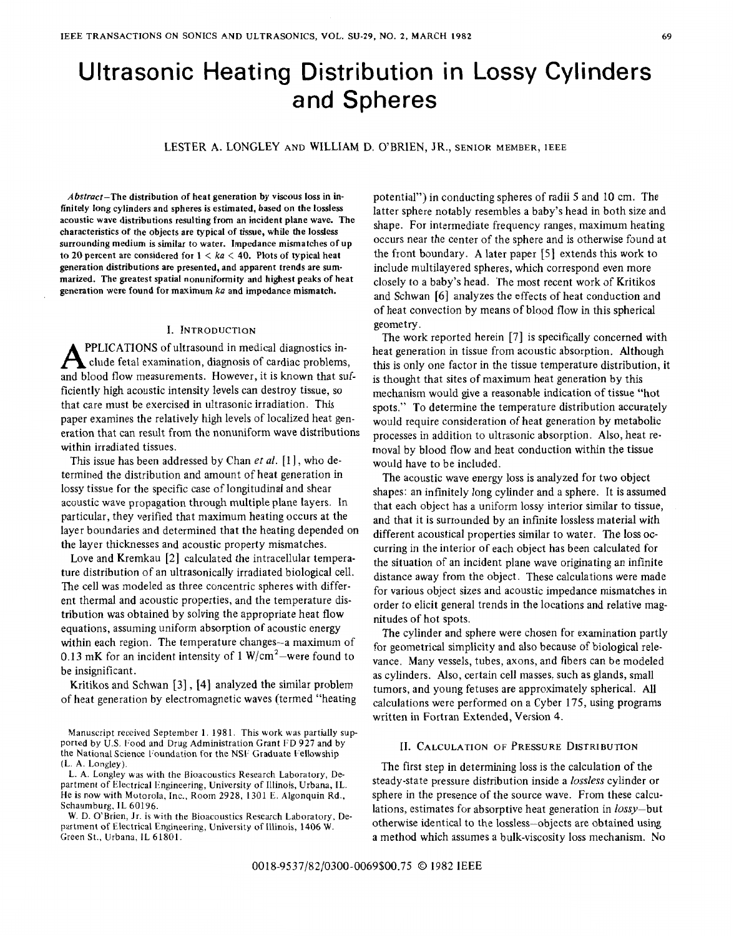# Ultrasonic Heating Distribution in **Lossy** Cylinders and Spheres

LESTER **A.** LONGLEY **AND** WILLIAM **D.** O'BRIEN, **JR., SENIOR MEMBER, IEEE** 

Abstract-The distribution of heat generation by viscous loss in in**finitely long cylinders and spheres is estimated, based on the lossless acoustic wave distributions resulting from an incident plane wave. The characteristics of the objects are typical of tissue, while the lossless surrounding medium is similar to water. Impedance mismatches of up to 20 percent are considered for 1** < *ka* < **40. Plots of typical heat generation distributions are presented, and apparent trends are summarized. The greatest spatial nonunifonnity and highest peaks of heat generation were found for maximum** *ka* **and impedance mismatch.** 

#### I. **INTRODUCTION**

**A** PPLICATIONS of ultrasound in medical diagnostics include fetal examination, diagnosis of cardiac problems, and blood flow measurements. However, it is known that suf-PPLICATIONS of ultrasound in medical diagnostics include fetal examination, diagnosis of cardiac problems, ficiently high acoustic intensity levels can destroy tissue, so that care must be exercised in ultrasonic irradiation. This paper examines the relatively high levels of localized heat generation that can result from the nonuniform wave distributions within irradiated tissues.

This issue has been addressed by Chan *et al.* [1], who determined the distribution and amount of heat generation in lossy tissue for the specific case of longitudinal and shear acoustic wave propagation through multiple plane layers. In particular, they verified that maximum heating occurs at the layer boundaries and determined that the heating depended on the layer thicknesses and acoustic property mismatches.

Love and Kremkau [2] calculated the intracellular temperature distribution of an ultrasonically irradiated biological cell. The cell was modeled as three concentric spheres with different thermal and acoustic properties, and the temperature distribution was obtained by solving the appropriate heat **flow**  equations, assuming uniform absorption of acoustic energy within each region. The temperature changes-a maximum of 0.13 mK for an incident intensity of 1  $W/cm^2$ -were found to be insignificant.

Kritikos and Schwan [3], [4] analyzed the similar problem of heat generation by electromagnetic waves (termed "heating

**L. A. Longley was with the Bioacoustics Research Laboratory, Department** of **Electrical Engineering, University of Illinois, Urbana, IL. He is now with Motorola, Inc., Room 2928, 1301** F. **Algonquin Rd., Schaumburg, IL 60196.** 

**partment** of **Electrical Engineering, University** of **Illinois, 1406 W. Green** *St.,* **Urbana, IL 61801.**  W. D. O'Brien, Jr. is with the Bioacoustics Research Laboratory, De-

potential") in conducting spheres of radii 5 and 10 cm. The latter sphere notably resembles a baby's head in both size and shape. For intermediate frequency ranges, maximum heating occurs near the center of the sphere and is otherwise found at the front boundary. **A** later paper [5] extends this work to include multilayered spheres, which correspond even more closely to a baby's head. The most recent work of Kritikos and Schwan [6] analyzes the effects of heat conduction and of heat convection by means of blood flow in this spherical geometry.

The work reported herein [7] is specifically concerned with heat generation in tissue from acoustic absorption. Although this is only one factor in the tissue temperature distribution, it is thought that sites of maximum heat generation by this mechanism would give a reasonable indication of tissue "hot spots." To determine the temperature distribution accurately would require consideration of heat generation by metabolic processes in addition to ultrasonic absorption. Also, heat removal by blood flow and heat conduction within the tissue would have to be included.

The acoustic wave energy loss is analyzed for two object shapes: an infinitely long cylinder and a sphere. It is assumed that each object has a uniform lossy interior similar to tissue, and that it is surrounded by an infinite lossless material with different acoustical properties similar to water. **The** loss occurring in the interior of each object has been calculated for the situation of an incident plane wave originating an infinite distance away from the object. These calculations were made for various object sizes and acoustic impedance mismatches in order to elicit general trends in the locations and relative magnitudes of hot spots.

The cylinder and sphere were chosen for examination partly for geometrical simplicity and also because of biological relevance. Many vessels, tubes, axons, and fibers can be modeled as cylinders. Also, certain cell masses, such as glands, small tumors, and young fetuses are approximately spherical. All calculations were performed on a Cyber 175, using programs written in Fortran Extended, Version 4.

### **11. CALCULATION** OF **PRESSURE DISTRIBUTION**

The first step in determining loss is the calculation of the steady-state pressure distribution inside a *lossless* cylinder or sphere in the presence of the source wave. From these calculations, estimates for absorptive heat generation in *lossy*-but otherwise identical to the lossless-objects are obtained using a method which assumes a bulk-viscosity loss mechanism. No

**Manuscript received September 1. 1981. This work was partially sup ported by** U.S. **1;ood and Drug Administration Grant FD 927 and by**  the National Science Foundation for the NSF Graduate Fellowship **(L. A. Longley).**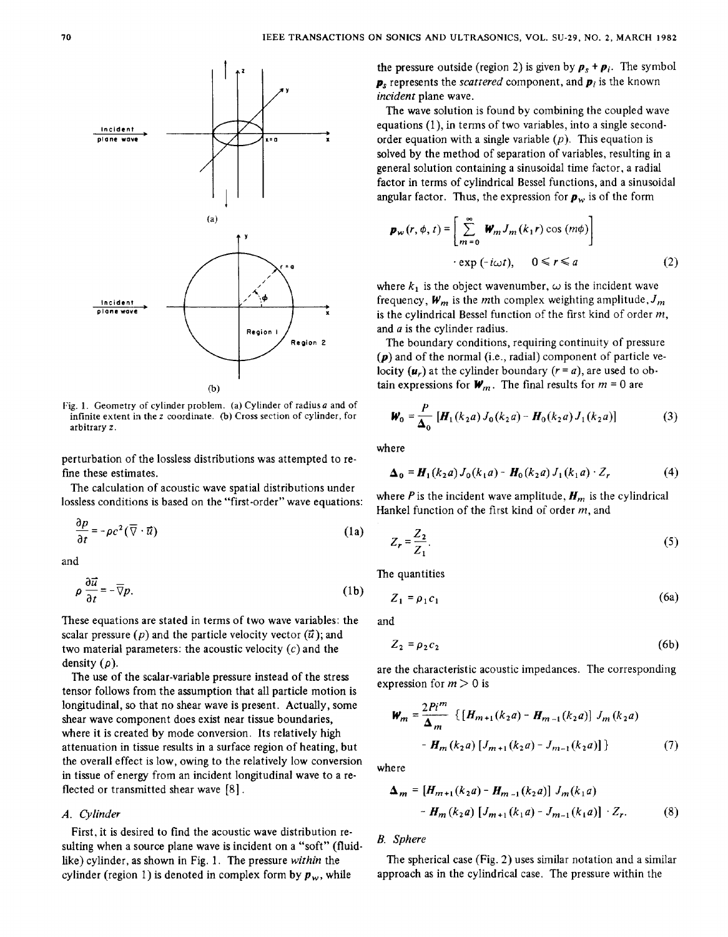

**[Fig.](#page--1-0) 1. Geometry** of **cylinder problem. (a) Cylinder** of **radiusa and** of **infinite extent in the** z **coordinate. (b) Cross section of cylinder,** for **arbitrary** *z.* 

perturbation of the lossless distributions was attempted to refine these estimates.

The calculation of acoustic wave spatial distributions under lossless conditions is based on the "first-order'' wave equations:

$$
\frac{\partial p}{\partial t} = -\rho c^2 (\overline{\nabla} \cdot \vec{u})
$$
 (1a)

and

$$
\rho \frac{\partial \vec{u}}{\partial t} = -\overline{\nabla} p. \tag{1b}
$$

These equations are stated in terms of two wave variables: the scalar pressure  $(p)$  and the particle velocity vector  $(\vec{u})$ ; and two material parameters: the acoustic velocity  $(c)$  and the density *(p).* 

The use **of** the scalar-variable pressure instead **of** the stress tensor follows from the assumption that all particle motion is longitudinal, so that no shear wave is present. Actually, some shear wave component does exist near tissue boundaries, where it is created by mode conversion. Its relatively high attenuation in tissue results in a surface region **of** heating, but the overall effect is low, owing to the relatively low conversion in tissue of energy from an incident longitudinal wave to a reflected or transmitted shear wave [8].

#### *A. Qlinder*

First, it is desired to find the acoustic wave distribution resulting when a source plane wave is incident on a "soft" (fluid-like) cylinder, as shown in [Fig.](#page--1-0) 1. The pressure *within* the The spherical case (Fig. 2) uses similar notation and a sin<br>cylinder (region 1) is denoted in complex form by  $p_w$ , while approach as in the cylindrical case. T cylinder (region 1) is denoted in complex form by  $p_w$ , while approach as in the cylindrical case. The pressure within the

the pressure outside (region 2) is given by  $p_s + p_i$ . The symbol *ps* represents the *scattered* component, and *pi* is the known *incident* plane wave.

The wave solution is found by combining the coupled wave equations (1), in terms of two variables, into a single secondorder equation with a single variable *(p).* This equation is solved by the method of separation of variables, resulting in a general solution containing a sinusoidal time factor, a radial factor in terms of cylindrical Bessel functions, and a sinusoidal angular factor. Thus, the expression for  $p_w$  is of the form

$$
\boldsymbol{p}_{w}(r,\phi,t) = \begin{bmatrix} \sum_{m=0}^{\infty} \boldsymbol{W}_{m} J_{m}(k_{1}r) \cos(m\phi) \\ \vdots \\ \exp(-i\omega t), \quad 0 \leq r \leq a \end{bmatrix}
$$
 (2)

where  $k_1$  is the object wavenumber,  $\omega$  is the incident wave frequency,  $W_m$  is the *m*th complex weighting amplitude,  $J_m$ is the cylindrical Bessel function of the first kind of order *m,*  and *a* is the cylinder radius.

The boundary conditions, requiring continujty of pressure *(p)* and of the normal (i.e., radial) component of particle velocity  $(\mathbf{u}_r)$  at the cylinder boundary  $(r = a)$ , are used to ob-

tain expressions for 
$$
W_m
$$
. The final results for  $m = 0$  are  
\n
$$
W_0 = \frac{P}{\Delta_0} [H_1(k_2a) J_0(k_2a) - H_0(k_2a) J_1(k_2a)]
$$
\n(3)

where

$$
\Delta_0 = H_1(k_2 a) J_0(k_1 a) - H_0(k_2 a) J_1(k_1 a) \cdot Z_r
$$
 (4)

where *P* is the incident wave amplitude,  $H_m$  is the cylindrical Hankel function of the first kind of order *m,* and

$$
Z_r = \frac{Z_2}{Z_1}.\tag{5}
$$

The quantities

$$
Z_1 = \rho_1 c_1 \tag{6a}
$$

and

$$
Z_2 = \rho_2 c_2 \tag{6b}
$$

are the characteristic acoustic impedances. The corresponding expression for  $m > 0$  is

$$
\mathbf{W}_{m} = \frac{2Pi^{m}}{\Delta_{m}} \left\{ \left[ H_{m+1}(k_{2}a) - H_{m-1}(k_{2}a) \right] J_{m}(k_{2}a) - H_{m}(k_{2}a) \right\} - \mathbf{H}_{m}(k_{2}a) \left[ J_{m+1}(k_{2}a) - J_{m-1}(k_{2}a) \right] \right\}
$$
(7)

where

$$
\Delta_m = [H_{m+1}(k_2 a) - H_{m-1}(k_2 a)] J_m(k_1 a)
$$
  
-  $H_m(k_2 a) [J_{m+1}(k_1 a) - J_{m-1}(k_1 a)] \cdot Z_r.$  (8)

#### *B. Sphere*

The spherical case (Fig. *2)* uses similar notation and a similar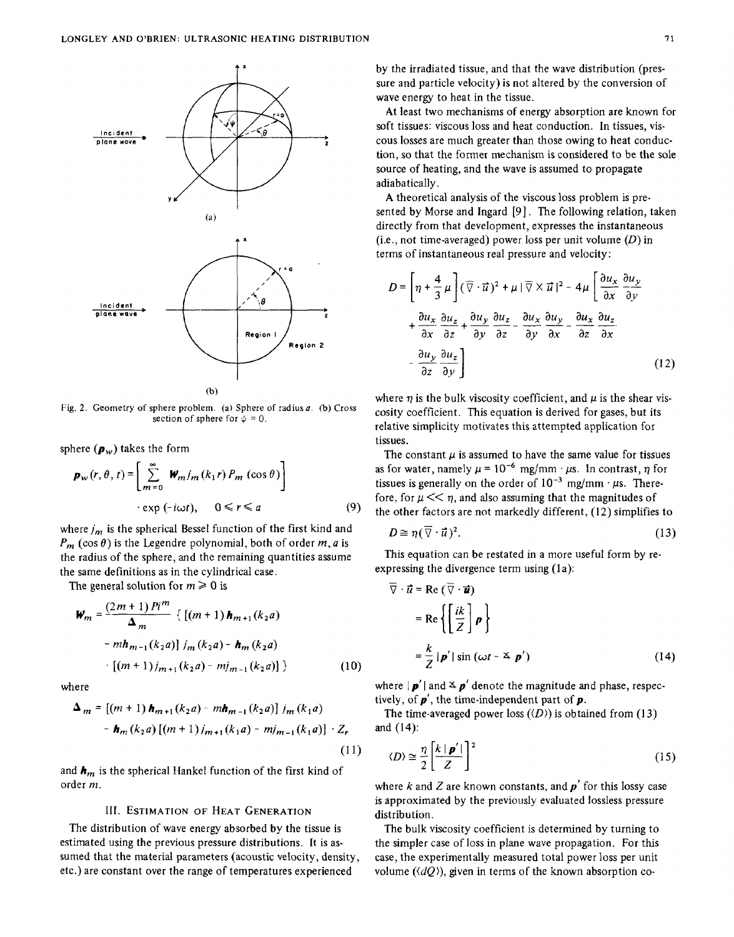

**[Fig.](#page--1-0)** *2.* Geometry **of sphere** problem. **(a) Sphere** of **radius** *a.* (b) **Cross**  section of sphere for  $\psi = 0$ .

sphere  $(\boldsymbol{p}_w)$  takes the form

$$
\boldsymbol{p}_{w}(r,\theta,t) = \left[\sum_{m=0}^{\infty} \boldsymbol{W}_{m} j_{m}(k_{1}r) P_{m}(\cos\theta)\right]
$$
  
 
$$
\cdot \exp(-i\omega t), \quad 0 \leq r \leq a
$$
 (9)

where *jm* is the spherical Bessel function of the first kind and  $P_m$  (cos  $\theta$ ) is the Legendre polynomial, both of order  $m$ , *a* is the radius of the sphere, and the remaining quantities assume the same definitions as in the cylindrical case.

The general solution for  $m \geq 0$  is

$$
W_m = \frac{(2m+1) Pi^m}{\Delta_m} \left\{ \left[ (m+1) h_{m+1}(k_2 a) - mh_{m-1}(k_2 a) \right] j_m(k_2 a) - h_m(k_2 a) \right\}
$$
  
-  $m h_{m-1}(k_2 a) \left\{ j_m(k_2 a) - m j_{m-1}(k_2 a) \right\}$  (10)

where

$$
\Delta_m = [(m+1) h_{m+1}(k_2 a) - m h_{m-1}(k_2 a)] j_m(k_1 a)
$$
  
- h\_m(k\_2 a) [(m+1) j\_{m+1}(k\_1 a) - m j\_{m-1}(k\_1 a)] \cdot Z\_r (11)

and  $h_m$  is the spherical Hankel function of the first kind of order m.

### 111. **ESTIMATION** OF **HEAT GENERATION**

The distribution of wave energy absorbed by the tissue is estimated using the previous pressure distributions. It is assumed that the material parameters (acoustic velocity, density, etc.) are constant over the range of temperatures experienced

by the irradiated tissue, and that the wave distribution (pressure and particle velocity) is not altered by the conversion of wave energy to heat in the tissue.

At least two mechanisms of energy absorption are known for soft tissues: viscous loss and heat conduction. In tissues, viscous losses are much greater than those owing to heat conduction, so that the former mechanism is considered to be the sole source of heating, and the wave is assumed to propagate adiabatically.

**A** theoretical analysis of the viscous loss problem is presented by Morse and Ingard **[9].** The following relation, taken directly from that development, expresses the instantaneous (i.e., not time-averaged) power loss per unit volume *(D)* in terms of instantaneous real pressure and velocity:

$$
D = \left[\eta + \frac{4}{3}\mu\right] (\overline{\nabla} \cdot \vec{u})^2 + \mu |\overline{\nabla} \times \vec{u}|^2 - 4\mu \left[\frac{\partial u_x}{\partial x} \frac{\partial u_y}{\partial y} + \frac{\partial u_x}{\partial x} \frac{\partial u_z}{\partial z} + \frac{\partial u_y}{\partial y} \frac{\partial u_z}{\partial z} - \frac{\partial u_x}{\partial y} \frac{\partial u_y}{\partial x} - \frac{\partial u_x}{\partial z} \frac{\partial u_z}{\partial x} - \frac{\partial u_y}{\partial z} \frac{\partial u_z}{\partial y}\right]
$$
(12)

where  $\eta$  is the bulk viscosity coefficient, and  $\mu$  is the shear viscosity coefficient. This equation is derived for gases, but its relative simplicity motivates this attempted application for tissues.

The constant  $\mu$  is assumed to have the same value for tissues as for water, namely  $\mu = 10^{-6}$  mg/mm  $\cdot \mu$ s. In contrast,  $\eta$  for tissues is generally on the order of  $10^{-3}$  mg/mm  $\cdot \mu$ s. Therefore, for  $\mu \ll \eta$ , and also assuming that the magnitudes of the other factors are not markedly different, *(12)* simplifies to

$$
D \cong \eta(\overline{\nabla} \cdot \vec{u})^2. \tag{13}
$$

This equation can be restated in a more useful form by reexpressing the divergence term using (1a):

$$
\overline{\nabla} \cdot \overline{\boldsymbol{u}} = \text{Re} \left( \overline{\nabla} \cdot \overline{\boldsymbol{u}} \right)
$$
  
= Re  $\left\{ \left[ \frac{ik}{Z} \right] \boldsymbol{p} \right\}$   
=  $\frac{k}{Z} |\boldsymbol{p}'| \sin \left( \omega t - \Delta \boldsymbol{p}' \right)$  (14)

where  $|\mathbf{p}'|$  and  $\leq \mathbf{p}'$  denote the magnitude and phase, respectively, of *p',* the time-independent part **of** *p.* 

The time-averaged power loss  $(\langle D \rangle)$  is obtained from (13) and **(14):** 

$$
\langle D \rangle \cong \frac{\eta}{2} \left[ \frac{k \mid \mathbf{p'}|}{Z} \right]^2 \tag{15}
$$

where  $k$  and  $\overline{Z}$  are known constants, and  $\overline{p}'$  for this lossy case is approximated by the previously evaluated lossless pressure distribution.

The bulk viscosity coefficient is determined by turning to the simpler case of loss in plane wave propagation. **For** this case, the experimentally measured total power loss per unit volume  $(\langle dQ \rangle)$ , given in terms of the known absorption co-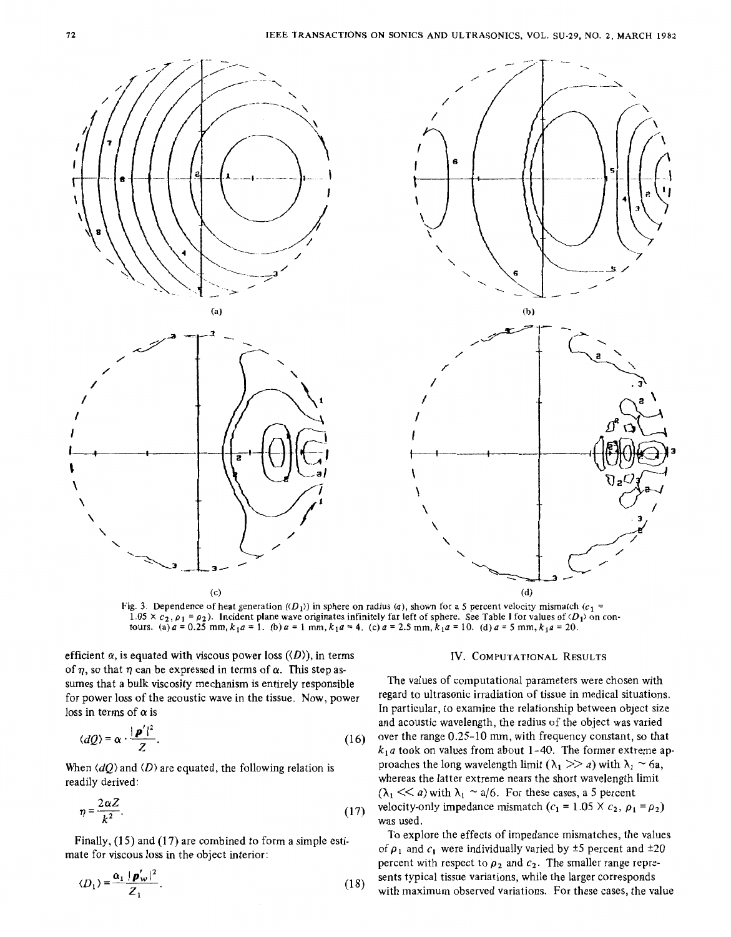

Fig. 3. Dependence of heat generation  $((D_1))$  in sphere on radius (a), shown for a 5 percent velocity mismatch (c<sub>1</sub> =  $1.05 \times c_2$ ,  $\rho_1 = \rho_2$ ). Incident plane wave originates infinitely far left of sphere. See Table I for values of  $\langle D_1 \rangle$  on contours. (a)  $a = 0.25$  mm,  $k_1 a = 1$ . (b)  $a = 1$  mm,  $k_1 a = 4$ . (c)  $a = 2.5$  mm,  $k_1 a = 10$ . (d)  $a = 5$  mm,  $k_1 a = 20$ .

efficient *α*, is equated with viscous power loss ( $(D)$ ), in terms **IV.** COMPUTATIONAL RESULTS of  $\eta$ , so that  $\eta$  can be expressed in terms of  $\alpha$ . This step asfor power loss of the acoustic wave in the tissue. Now, power

$$
\langle dQ \rangle = \alpha \cdot \frac{|\mathbf{p}'|^2}{Z}.
$$
 (16)

$$
\eta = \frac{2\alpha Z}{k^2}.\tag{17}
$$

Finally, (15) and (17) are combined to form a simple esti-<br>mate for viscous loss in the object interior:

$$
\langle D_1 \rangle = \frac{\alpha_1 \mid \mathbf{p}'_w \mid^2}{Z_1}.
$$
 (18)

sumes that a bulk viscosity mechanism is entirely responsible<br>for power loss of the acoustic wave in the tissue. Now power regard to ultrasonic irradiation of tissue in medical situations. loss in terms of  $\alpha$  is  $\alpha$  is  $\alpha$  is  $\alpha$  is  $\alpha$  is  $\alpha$  is  $\alpha$  is  $\alpha$  is  $\alpha$  is  $\alpha$  is  $\alpha$  is  $\alpha$  is  $\alpha$  is  $\alpha$  is  $\alpha$  is  $\alpha$  is  $\alpha$  is  $\alpha$  is  $\alpha$  is  $\alpha$  is  $\alpha$  is  $\alpha$  is  $\alpha$  is  $\alpha$  is  $\alpha$  is  $\alpha$ and acoustic wavelength, the radius of the object was varied over the range 0.25-10 mm, with frequency constant, so that  $k_1a$  took on values from about 1-40. The former extreme ap-When  $\langle dQ \rangle$  and  $\langle D \rangle$  are equated, the following relation is proaches the long wavelength limit  $(\lambda_1 \gg a)$  with  $\lambda_1 \sim 6a$ , whereas the latter extreme nears the short wavelength limit  $\lambda_1 \sim 6a$ , whereas the latter extreme nears the short wavelength limit Thereas the latter extreme hears the short wavelength in<br>  $\lambda_1 \ll a$ ) with  $\lambda_1 \sim a/6$ . For these cases, a 5 percent *velocity-only impedance mismatch* ( $c_1 = 1.05 \times c_2$ ,  $\rho_1 = \rho_2$ )

was used.<br>To explore the effects of impedance mismatches, the values of  $p_1$  and  $c_1$  were individually varied by  $\pm 5$  percent and  $\pm 20$ percent with respect to  $\rho_2$  and  $c_2$ . The smaller range represents typical tissue variations, while the larger corresponds (a) sents typical ussue variations, while the larger corresponds<br>with maximum observed variations. For these cases, the value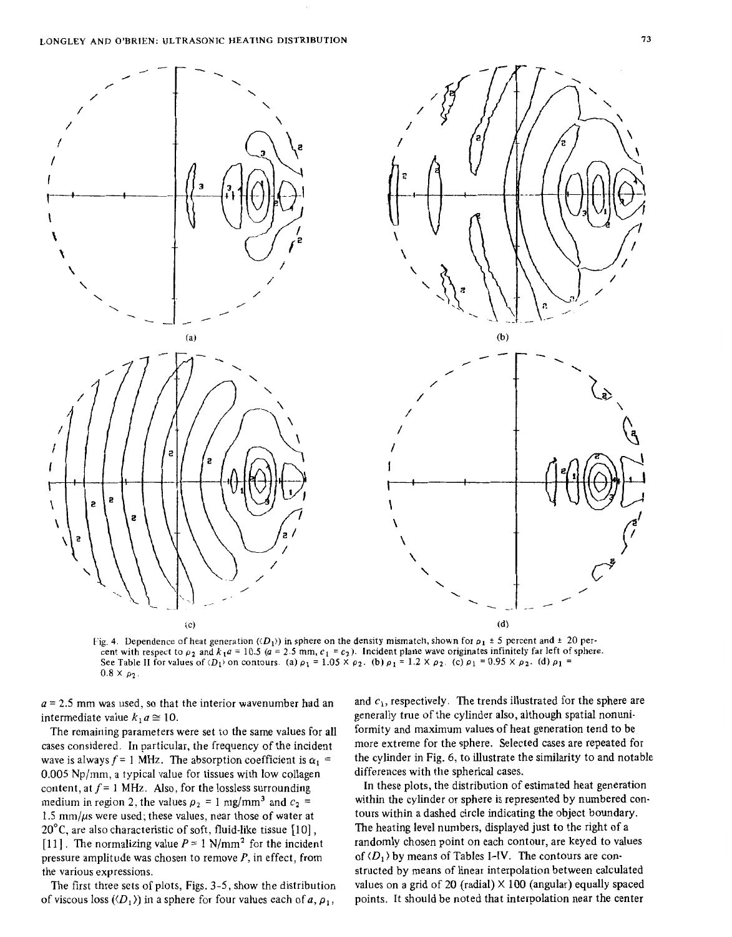



(c) (c)<br>Fig. 4. Dependence of heat generation  $((D_1))$  in sphere on the density mismatch, shown for  $\rho_1 \pm 5$  percent and  $\pm 20$  perig. 4. Dependence of neat generation  $((D_1)^r)$  in sphere on the density mismatch, shown for  $p_1 \pm 3$  percent and  $\pm 20$  per-<br>cent with respect to  $p_2$  and  $k_1a = 10.5$   $(a = 2.5$  mm,  $c_1 = c_2$ ). Incident plane wave origi See Table II for values of  $(D_1)$  on contours. (a)  $\rho_1 = 1.05 \times \rho_2$ . (b)  $\rho_1 = 1.2 \times \rho_2$ . (c)  $\rho_1 = 0.95 \times \rho_2$ . (d)  $\rho_1 =$  $0.8 \times \rho_2$ .

 $a = 2.5$  mm was used, so that the interior wavenumber had an intermediate value  $k_1 a \approx 10$ .

The remaining parameters were set to the same values for all cases considered. **In** particular, the frequency of the incident wave is always  $f = 1$  MHz. The absorption coefficient is  $\alpha_1$  = 0.005 Np/mm, a typical value for tissues with low collagen content, at *f* = 1 MHz. *Also,* for the lossless surrounding medium in region 2, the values  $\rho_2 = 1$  mg/mm<sup>3</sup> and  $c_2$  = 1.5 mm/ $\mu$ s were used; these values, near those of water at *20°C,* are also characteristic of soft, fluid-like tissue [lo],  $[11]$ . The normalizing value  $P = 1$  N/mm<sup>2</sup> for the incident pressure amplitude was chosen to remove P, in effect, from the various expressions.

The first three sets of plots, Figs. **3-5,** show the distribution of viscous loss  $(\langle D_1 \rangle)$  in a sphere for four values each of *a*,  $\rho_1$ ,

and  $c_1$ , respectively. The trends illustrated for the sphere are generally true of the cylinder also, although spatial nonuniformity and maximum values of heat generation tend to be more extreme for the sphere. Selected cases are repeated for the cylinder in Fig. 6, to illustrate the similarity to and notable differences with the spherical cases.

**In** these plots, the distribution of estimated heat generation within the cylinder or sphere is represented by numbered contours within a dashed circle indicating the object boundary. The heating level numbers, displayed just to the right of a randomly chosen point on each contour, are keyed to values of *(D,* ) by means of Tables **I-IV.** The contours are constructed by means of linear interpolation between calculated values on a grid of 20 (radial)  $\times$  100 (angular) equally spaced points. It should be noted that interpolation near the center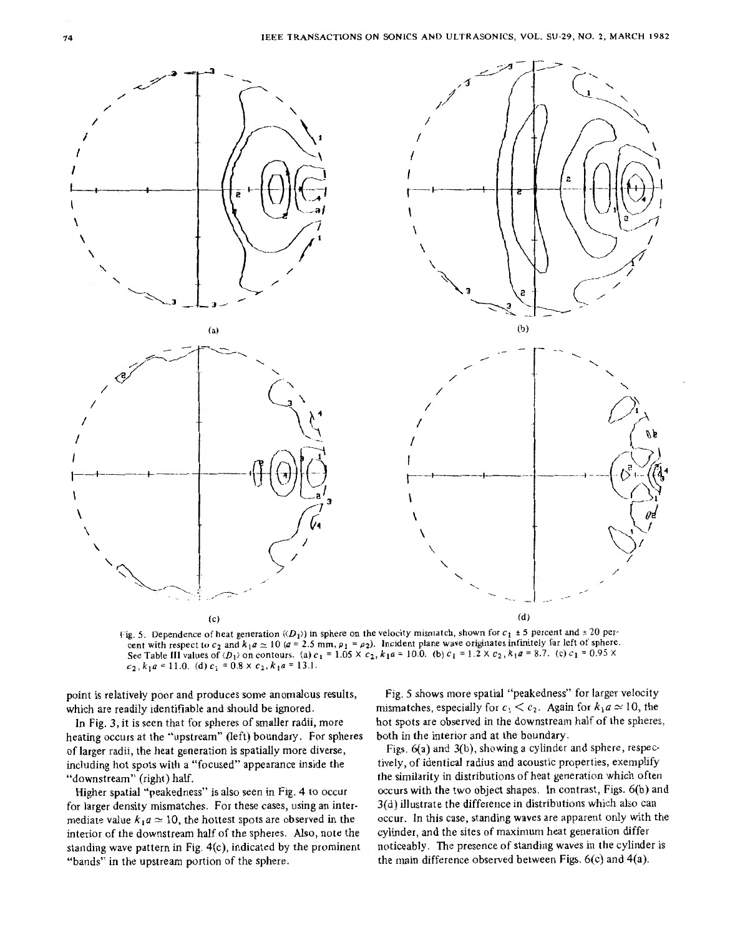

example of the term of the set of  $a = 2.5$  mm,  $\rho_1 = \rho_2$ ). Incident plane wave originates infinitely far left of sphere.<br>See Table III values of  $\langle D_1 \rangle$  on contours. (a)  $c_1 = 1.05 \times c_2$ ,  $k_1 a = 10.0$ . (b)  $c_1 = 1.2 \times$  $c_2$ ,  $k_1a = 11.0$ . **(d)**  $c_1 = 0.8 \times c_2$ ,  $k_1a = 13.1$ .

point is relatively poor and produces some anomalous results, which are readily identifiable and should be ignored.

In Fig. 3, it is seen that for spheres of smaller radii, more heating occurs at the "upstream" (left) boundary. For spheres of larger radii, the heat generation is spatially more diverse, including hot spots with a "focused" appearance inside the "downstream" (right) half.

Higher spatial "peakedness" is also seen in Fig. 4 to occur for larger density mismatches. For these cases, using an interfor larger density mismatches. For these cases, asing an interediate value  $k_1 a \approx 10$ , the hottest spots are observed in the edition of the downstream half of the spheres. Also, note the interior of the downstream half of the spheres. Also, note the standing wave pattern in Fig. 4(c), indicated by the prominent standing wave pattern in Fig.  $(0)$ , indicated by the prominent ands" in the applicant portion of the sphere.

ismatches, especially for  $c_1 < c_2$ . Again for  $k_1 a \approx 10$ , the<br>ort spots are observed in the downstream half of the spheres. hot spots are observed in the downstream half of the spheres, both in the interior and at the boundary.

Figs.  $6(a)$  and  $3(b)$ , showing a cylinder and sphere, respectively, of identical radius and acoustic properties, exemplify the similarity in distributions of heat generation which often occurs with the two object shapes. In contrast, Figs. 6(b) and  $3(d)$  illustrate the difference in distributions which also can occur. In this case, standing waves are apparent only with the cylinder, and the sites of maximum heat generation differ noticeably. The presence of standing waves in the cylinder is  $\alpha$  main difference observed between Figs.  $f(c)$  and  $f(a)$ the main difference observed between Figs. **6(c)** and 4(a).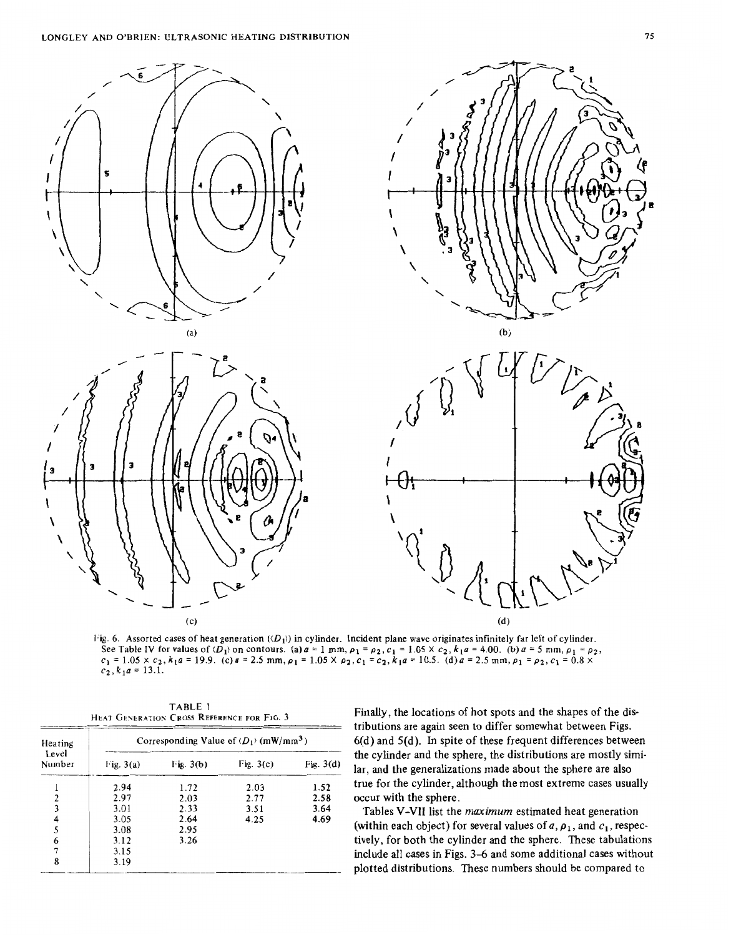$\prime$  $\mathbf{I}$  $\mathsf t$  $\mathbf{I}$ ١

٠

 $\sqrt{2}$ ١



**I**-ig. 6. Assorted cases of heat generation  $(D_1)$  in cylinder. Incident plane wave originates infinitely far left of cylinder. See Table IV for values of  $(D_1)$  on contours. (a)  $a = 1$  mm,  $p_1 = p_2$ ,  $c_1 = 1.05 \times c_2$ ,  $k_1 a = 4.00$ . (b)  $a = 5$  mm,  $p_1 = p_2$ ,  $c_1 = 1.05 \times c_2$ ,  $k_1 a = 19.9$ . (c)  $a = 2.5$  mm,  $\rho_1 = 1.05 \times \rho_2$ ,  $c_1 = c_2$ ,  $k_1 a = 10.5$ . (d)  $a = 2.5$  mm,  $\rho_1 = \rho_2$ ,  $c_1 = 0.8 \times$  $c_2$ ,  $k_1a = 13.1$ .

**(C) (d)** 

**[TABLE](#page--1-0)** <sup>I</sup> **HEAT GENERATION CROSS REFERENCE FOR [FIG.](#page--1-0) 3** 

 $\ddot{\phantom{1}}$ 

| Heating<br>Level<br>Number | Corresponding Value of $\langle D_1 \rangle$ (mW/mm <sup>3</sup> ) |             |             |             |  |
|----------------------------|--------------------------------------------------------------------|-------------|-------------|-------------|--|
|                            | Fig. $3(a)$                                                        | Fig. $3(b)$ | Fig. $3(c)$ | Fig. $3(d)$ |  |
|                            | 2.94                                                               | 1.72        | 2.03        | 1.52        |  |
|                            | 2.97                                                               | 2.03        | 2.77        | 2.58        |  |
|                            | 3.01                                                               | 2.33        | 3.51        | 3.64        |  |
|                            | 3.05                                                               | 2.64        | 4.25        | 4.69        |  |
|                            | 3.08                                                               | 2.95        |             |             |  |
| 6                          | 3.12                                                               | 3.26        |             |             |  |
|                            | 3.15                                                               |             |             |             |  |
| 8                          | 3.19                                                               |             |             |             |  |

Finally, the locations of hot spots and the shapes of the distributions are again seen to differ somewhat between Figs. 6(d) and 5(d). In spite of these frequent differences between the cylinder and the sphere, the distributions are mostly similar, and the generalizations made about the sphere are also true for the cylinder, although the most extreme cases usually occur with the sphere.

Tables V-VII list the *maximum* estimated heat generation (within each object) for several values of  $a, \rho_1$ , and  $c_1$ , respectively, for both the cylinder and the sphere. These tabulations include all cases in Figs. *3-6* and some additional cases without plotted distributions. These numbers should be compared to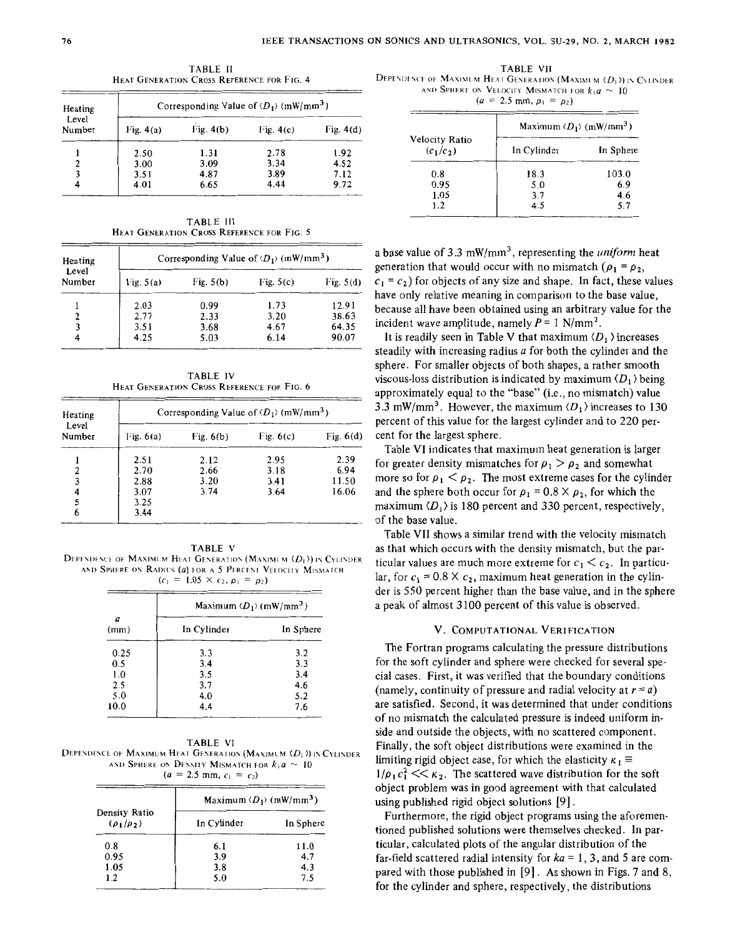TABLE **II HEAT GENER4TIOK CROSS REFERENCE** FOR **[FIG.](#page--1-0) 4** 

| Heating         | Corresponding Value of $\langle D_1 \rangle$ (mW/mm <sup>3</sup> ) |             |             |             |  |
|-----------------|--------------------------------------------------------------------|-------------|-------------|-------------|--|
| Level<br>Number | Fig. $4(a)$                                                        | Fig. $4(b)$ | Fig. $4(c)$ | Fig. $4(d)$ |  |
|                 | 2.50                                                               | 1.31        | 2.78        | 1.92        |  |
|                 | 3.00                                                               | 3.09        | 3.34        | 4.52        |  |
|                 | 3.51                                                               | 4.87        | 3.89        | 7.12        |  |
| 4               | 4.01                                                               | 6.65        | 4.44        | 9.72        |  |

TABLE **Ill HEAT GENERATION CROSS REFERENCE FOR** [FIG. 5](#page--1-0)

| Heating<br>Level<br>Number | Corresponding Value of $\langle D_1 \rangle$ (mW/mm <sup>3</sup> ) |             |             |             |  |
|----------------------------|--------------------------------------------------------------------|-------------|-------------|-------------|--|
|                            | Fig. $5(a)$                                                        | Fig. $5(b)$ | Fig. $5(c)$ | Fig. $5(d)$ |  |
|                            | 2.03                                                               | 0.99        | 1.73        | 12.91       |  |
|                            | 2.77                                                               | 2.33        | 3.20        | 38.63       |  |
|                            | 3.51                                                               | 3.68        | 4.67        | 64.35       |  |
| 4                          | 4.25                                                               | 5.03        | 6.14        | 90.07       |  |

TABLE **IV HEAT GENERATION CROSS REFERENCE FOR** [FIG.](#page--1-0) *6* 

| Heating<br>Level<br>Number | Corresponding Value of $\langle D_1 \rangle$ (mW/mm <sup>3</sup> ) |             |             |             |
|----------------------------|--------------------------------------------------------------------|-------------|-------------|-------------|
|                            | Fig. $6(a)$                                                        | Fig. $6(b)$ | Fig. $6(c)$ | Fig. $6(d)$ |
|                            | 2.51                                                               | 2.12        | 2.95        | 2.39        |
|                            | 2.70                                                               | 2.66        | 3.18        | 6.94        |
|                            | 2.88                                                               | 3.20        | 3.41        | 11.50       |
| 4                          | 3.07                                                               | 3.74        | 3.64        | 16.06       |
|                            | 3.25                                                               |             |             |             |
| 6                          | 3.44                                                               |             |             |             |

TABLE **V DEPENDENCE OF MAXIMUM HEAT GENERATION (MAXIMUM**  $\langle D_1 \rangle$ **) IN CYLINDER** AND SPHERE ON RADIUS (a) FOR A 5 PERCENT VELOCITY MISMATCH  $(c_1 = 1.05 \times c_2, \rho_1 = \rho_2)$ 

|           | Maximum $\langle D_1 \rangle$ (mW/mm <sup>3</sup> ) |           |
|-----------|-----------------------------------------------------|-----------|
| a<br>(mm) | In Cylinder                                         | In Sphere |
| 0.25      | 3.3                                                 | 3.2       |
| 0.5       | 3.4                                                 | 3.3       |
| 1.0       | 3.5                                                 | 3.4       |
| 2.5       | 3.7                                                 | 4.6       |
| 5.0       | 4.0                                                 | 5.2       |
| 10.0      | 4.4                                                 | 7.6       |

TABLE VI DEPENDENCE OF MAXIMUM HEAT GENERATION (MAXIMLM  $\langle D_1 \rangle$ ) IN CYLINDER AND SPHERE ON DENSITY MISMATCH FOR  $k_1a \sim 10$  $(a = 2.5$  mm,  $c_1 = c_2$ 

|                                    | Maximum $\langle D_1 \rangle$ (mW/mm <sup>3</sup> ) |           |  |
|------------------------------------|-----------------------------------------------------|-----------|--|
| Density Ratio<br>$(\rho_1/\rho_2)$ | In Cylinder                                         | In Sphere |  |
| 0.8                                | 6.1                                                 | 11.0      |  |
| 0.95                               | 3.9                                                 | 4.7       |  |
| 1.05                               | 3.8                                                 | 4.3       |  |
| 1.2                                | 5.0                                                 | 7.5       |  |

**DEPENDENCE OF MAXIMUM HEAT GENERATION (MAXIMUM**  $(D_1)$ **) IN CYLINDER** AND **SPHERE ON VELOCITY MISMATCH FOR**  $k_1a \sim 10$  $(a = 2.5$  mm,  $\rho_1 = \rho_2$ )

|                               | Maximum $\langle D_1 \rangle$ (mW/mm <sup>3</sup> ) |           |  |
|-------------------------------|-----------------------------------------------------|-----------|--|
| Velocity Ratio<br>$(c_1/c_2)$ | In Cylinder                                         | In Sphere |  |
| 0.8                           | 18.3                                                | 103.0     |  |
| 0.95                          | 5.0                                                 | 6.9       |  |
| 1.05                          | 3.7                                                 | 4.6       |  |
| 1.2                           | 4.5                                                 | 5.7       |  |

a base value of 3.3 mW/mm3, representing the *uniform* heat generation that would occur with no mismatch  $(\rho_1 = \rho_2)$ ,  $c_1 = c_2$ ) for objects of any size and shape. In fact, these values have only relative meaning in comparison to the base value, because all have been obtained using an arbitrary value for the incident wave amplitude, namely  $P = 1$  N/mm<sup>2</sup>.

It is readily seen in Table V that maximum  $\langle D_1 \rangle$  increases steadily with increasing radius *a* for both the cylinder and the sphere. For smaller objects of both shapes, a rather smooth viscous-loss distribution is indicated by maximum  $\langle D_1 \rangle$  being approximately equal to the "base" (i.e., no mismatch) value 3.3 mW/mm<sup>3</sup>. However, the maximum  $\langle D_1 \rangle$  increases to 130 percent of this value for the largest cylinder and to 220 percent for the largest sphere.

Table **VI** indicates that maximum heat generation is larger for greater density mismatches for  $\rho_1 > \rho_2$  and somewhat more so for  $\rho_1 < \rho_2$ . The most extreme cases for the cylinder and the sphere both occur for  $\rho_1 = 0.8 \times \rho_2$ , for which the maximum  $\langle D_1 \rangle$  is 180 percent and 330 percent, respectively, of the base value.

Table **VI1** shows a similar trend with the velocity mismatch as that which occurs with the density mismatch, but the particular values are much more extreme for  $c_1 < c_2$ . In particular, for  $c_1 = 0.8 \times c_2$ , maximum heat generation in the cylinder is 550 percent higher than the base value, and in the sphere a peak of almost 3 100 percent of this value is observed.

#### **V. COMPUTATIONAL VERIFICATION**

The Fortran programs calculating the pressure distributions for the soft cylinder and sphere were checked for several special cases. First, it was verified that the boundary conditions (namely, continuity of pressure and radial velocity at  $r = a$ ) are satisfied. Second, it was determined that under conditions of no mismatch the calculated pressure is indeed uniform inside and outside the objects, with no scattered component. Finally, the soft object distributions were examined in the limiting rigid object case, for which the elasticity  $\kappa_1 \equiv$  $1/\rho_1 c_1^2 \ll \kappa_2$ . The scattered wave distribution for the soft object problem was in good agreement with that calculated using published rigid object solutions *[9].* 

tioned published solutions were themselves checked. In particular, calculated plots of the angular distribution of the far-field scattered radial intensity for  $ka = 1, 3$ , and 5 are compared with those published in [9] . **As** shown in [Figs.](#page--1-0) **7** and 8, for the cylinder and sphere, respectively, the distributions Furthermore, the rigid object programs using the aforemen-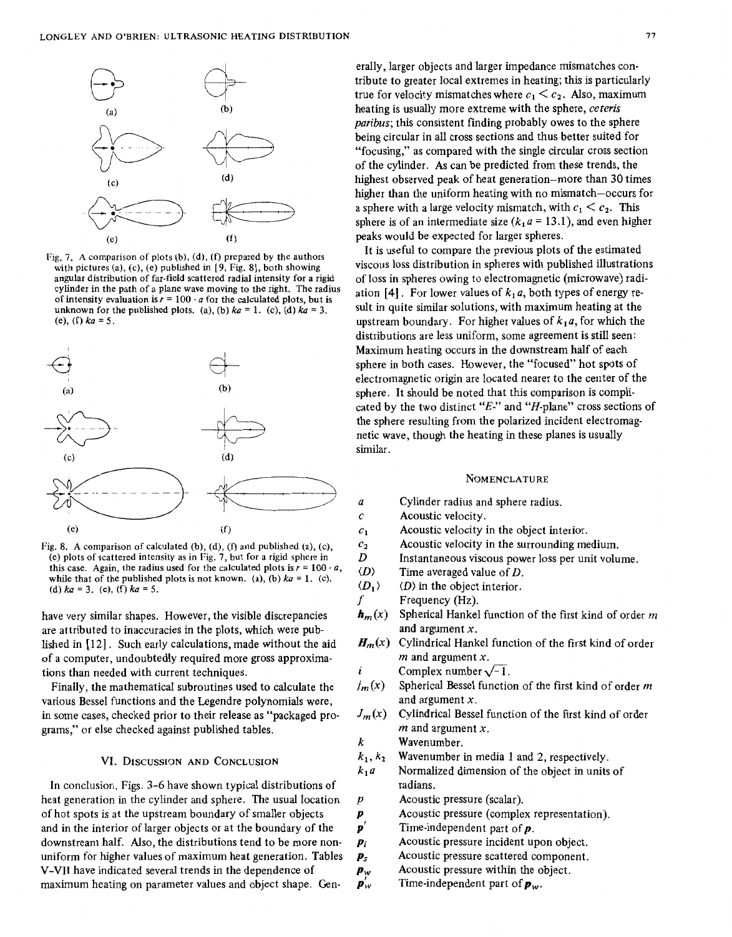<span id="page-8-0"></span>

**[Fig.](#page--1-0) 7. A comparison of plots (b), (d), (f) prepared by the authors with pictures (a), (c), (e) published in** [ **9, Fig. 81, both showing angular distribution of far-field scattered radial intensity for a rigid cylinder in the path** of **a plane wave moving to the right. The radius**  of intensity evaluation is  $r = 100 \cdot a$  for the calculated plots, but is **unknown** for the published plots. (a), (b)  $ka = 1$ . (c), (d)  $ka = 3$ . **(e), (f)** *ka* = **5.** 



**[Fig.](#page--1-0) 8. A comparison** of **calculated (b), (d),** *(f)* **and published (a), (c), (e) plots of scattered intensity as in Fig. 7, but for a rigid sphere in**  this case. Again, the radius used for the calculated plots is  $r = 100 \cdot a$ , while that of the published plots is not known. (a), (b)  $ka = 1$ . (c), **(d)** *ka* = **3. (e), (f)** *ka* = *5.* 

have very similar shapes. However, the visible discrepancies are attributed to inaccuracies in the plots, which were published in [12]. Such early calculations, made without the aid of a computer, undoubtedly required more gross approximations than needed with current techniques.

Finally, the mathematical subroutines used to calculate the various Bessel functions and the Legendre polynomials were, in some cases, checked prior to their release as "packaged programs,'' or else checked against published tables.

#### VI. DISCUSSION AND CONCLUSION

In conclusion, Figs. *3-6* have shown typical distributions of heat generation in the cylinder and sphere. The usual location of hot spots is at the upstream boundary of smaller objects and in the interior of larger objects or at the boundary of the downstream half. Also, the distributions tend to be more nonuniform for higher values of maximum heat generation. Tables  $\boldsymbol{p}_s$ V-VI1 have indicated several trends in the dependence of maximum heating on parameter values and object shape. Gen-

erally, larger objects and larger impedance mismatches contribute to greater local extremes in heating; this is particularly true for velocity mismatches where  $c_1 < c_2$ . Also, maximum heating is usually more extreme with the sphere, *cereris paribus;* this consistent finding probably owes to the sphere being circular in all cross sections and thus better suited for "focusing," as compared with the single circular cross section of the cylinder. As can be predicted from these trends, the highest observed peak of heat generation-more than 30 times higher than the uniform heating with no mismatch-occurs for a sphere with a large velocity mismatch, with  $c_1 < c_2$ . This sphere is of an intermediate size  $(k_1 a = 13.1)$ , and even higher peaks would be expected for larger spheres.

It is useful to compare the previous plots of the estimated viscous loss distribution in spheres with published illustrations of loss in spheres owing to electromagnetic (microwave) radiation  $[4]$ . For lower values of  $k_1 a$ , both types of energy result in quite similar solutions, with maximum heating at the upstream boundary. For higher values of  $k_1a$ , for which the distributions are less uniform, some agreement is still seen: Maximum heating occurs in the downstream half of each sphere in both cases. However, the "focused" hot spots of electromagnetic origin are located nearer to the center of the sphere. It should be noted that this comparison is complicated by the two distinct *"E-"* and "H-plane" cross sections of the sphere resulting from the polarized incident electromagnetic wave, though the heating in these planes is usually similar.

#### NOMENCLATURE

- *a* Cylinder radius and sphere radius.
- *c* Acoustic velocity.
- $c_1$  **Acoustic velocity in the object interior.**
- $c_2$  Acoustic velocity in the surrounding medium.<br> $D$  Instantaneous viscous power loss per unit volu
- D Instantaneous viscous power loss per unit volume.<br> $\langle D \rangle$  Time averaged value of D.
- $\langle D \rangle$  Time averaged value of *D*.<br> $\langle D_1 \rangle$   $\langle D \rangle$  in the object interior.
- $\langle D \rangle$  in the object interior.
- Frequency (Hz).
- $h_m(x)$  Spherical Hankel function of the first kind of order *m* and argument **x.**
- $H_m(x)$  Cylindrical Hankel function of the first kind of order *m* and argument *x*.<br>Complex number  $\sqrt{-1}$ .  $\sum_{m=1}^{n}$   $\sum_{m=1}^{n}$   $\sum_{m=1}^{n}$  and argument x.<br> *i* Complex number  $\sqrt{-1}$ .<br> *i*<sub>m</sub>(x) Spherical Bessel function of the first kind of order *m*
- and argument **x.**
- $J_m(x)$  Cylindrical Bessel function of the first kind of order  $m$  and argument  $x$ .

- *k* **Wavenumber.**<br> $k_1, k_2$  **Wavenumber**  $k_1, k_2$  Wavenumber in media 1 and 2, respectively.<br> $k_1 a$  Normalized dimension of the object in units
- *kla* Normalized dimension of the object in units of radians.
- $p$  Acoustic pressure (scalar).<br>  $p$  Acoustic pressure (comple
- *p* Acoustic pressure (complex representation).<br>*p'* Time-independent part of *p*.
- *P'* Time-independent part of *p.* 
	- Acoustic pressure incident upon object.
- Acoustic pressure scattered component.
- $\mathbf{p}_w$  Acoustic pressure within the object.
- $\mathbf{p}'_w$  Time-independent part of  $\mathbf{p}_w$ .